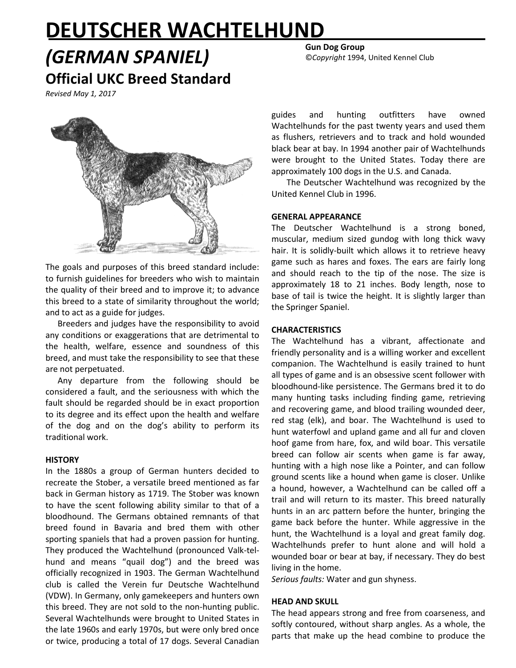# **DEUTSCHER WACHTELHUND**

*(GERMAN SPANIEL)* **Official UKC Breed Standard**

*Revised May 1, 2017*



The goals and purposes of this breed standard include: to furnish guidelines for breeders who wish to maintain the quality of their breed and to improve it; to advance this breed to a state of similarity throughout the world; and to act as a guide for judges.

Breeders and judges have the responsibility to avoid any conditions or exaggerations that are detrimental to the health, welfare, essence and soundness of this breed, and must take the responsibility to see that these are not perpetuated.

Any departure from the following should be considered a fault, and the seriousness with which the fault should be regarded should be in exact proportion to its degree and its effect upon the health and welfare of the dog and on the dog's ability to perform its traditional work.

#### **HISTORY**

In the 1880s a group of German hunters decided to recreate the Stober, a versatile breed mentioned as far back in German history as 1719. The Stober was known to have the scent following ability similar to that of a bloodhound. The Germans obtained remnants of that breed found in Bavaria and bred them with other sporting spaniels that had a proven passion for hunting. They produced the Wachtelhund (pronounced Valk-telhund and means "quail dog") and the breed was officially recognized in 1903. The German Wachtelhund club is called the Verein fur Deutsche Wachtelhund (VDW). In Germany, only gamekeepers and hunters own this breed. They are not sold to the non-hunting public. Several Wachtelhunds were brought to United States in the late 1960s and early 1970s, but were only bred once or twice, producing a total of 17 dogs. Several Canadian **Gun Dog Group**

©*Copyright* 1994, United Kennel Club

guides and hunting outfitters have owned Wachtelhunds for the past twenty years and used them as flushers, retrievers and to track and hold wounded black bear at bay. In 1994 another pair of Wachtelhunds were brought to the United States. Today there are approximately 100 dogs in the U.S. and Canada.

The Deutscher Wachtelhund was recognized by the United Kennel Club in 1996.

# **GENERAL APPEARANCE**

The Deutscher Wachtelhund is a strong boned, muscular, medium sized gundog with long thick wavy hair. It is solidly-built which allows it to retrieve heavy game such as hares and foxes. The ears are fairly long and should reach to the tip of the nose. The size is approximately 18 to 21 inches. Body length, nose to base of tail is twice the height. It is slightly larger than the Springer Spaniel.

# **CHARACTERISTICS**

The Wachtelhund has a vibrant, affectionate and friendly personality and is a willing worker and excellent companion. The Wachtelhund is easily trained to hunt all types of game and is an obsessive scent follower with bloodhound-like persistence. The Germans bred it to do many hunting tasks including finding game, retrieving and recovering game, and blood trailing wounded deer, red stag (elk), and boar. The Wachtelhund is used to hunt waterfowl and upland game and all fur and cloven hoof game from hare, fox, and wild boar. This versatile breed can follow air scents when game is far away, hunting with a high nose like a Pointer, and can follow ground scents like a hound when game is closer. Unlike a hound, however, a Wachtelhund can be called off a trail and will return to its master. This breed naturally hunts in an arc pattern before the hunter, bringing the game back before the hunter. While aggressive in the hunt, the Wachtelhund is a loyal and great family dog. Wachtelhunds prefer to hunt alone and will hold a wounded boar or bear at bay, if necessary. They do best living in the home.

*Serious faults:* Water and gun shyness.

#### **HEAD AND SKULL**

The head appears strong and free from coarseness, and softly contoured, without sharp angles. As a whole, the parts that make up the head combine to produce the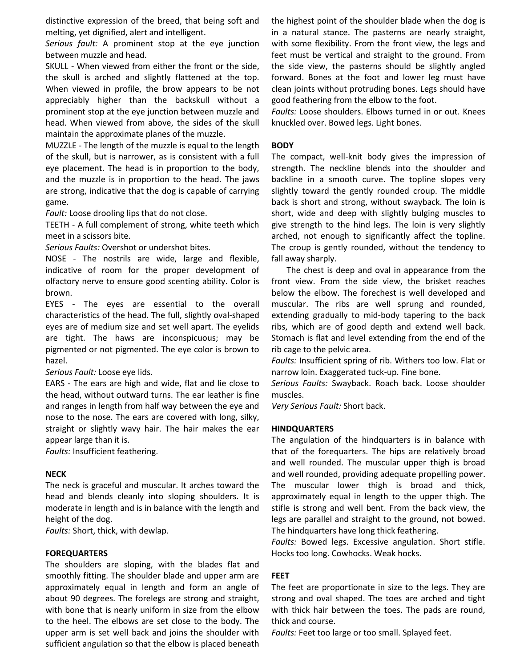distinctive expression of the breed, that being soft and melting, yet dignified, alert and intelligent.

*Serious fault:* A prominent stop at the eye junction between muzzle and head.

SKULL - When viewed from either the front or the side, the skull is arched and slightly flattened at the top. When viewed in profile, the brow appears to be not appreciably higher than the backskull without a prominent stop at the eye junction between muzzle and head. When viewed from above, the sides of the skull maintain the approximate planes of the muzzle.

MUZZLE - The length of the muzzle is equal to the length of the skull, but is narrower, as is consistent with a full eye placement. The head is in proportion to the body, and the muzzle is in proportion to the head. The jaws are strong, indicative that the dog is capable of carrying game.

*Fault:* Loose drooling lips that do not close.

TEETH - A full complement of strong, white teeth which meet in a scissors bite.

*Serious Faults:* Overshot or undershot bites.

NOSE - The nostrils are wide, large and flexible, indicative of room for the proper development of olfactory nerve to ensure good scenting ability. Color is brown.

EYES - The eyes are essential to the overall characteristics of the head. The full, slightly oval-shaped eyes are of medium size and set well apart. The eyelids are tight. The haws are inconspicuous; may be pigmented or not pigmented. The eye color is brown to hazel.

*Serious Fault:* Loose eye lids.

EARS - The ears are high and wide, flat and lie close to the head, without outward turns. The ear leather is fine and ranges in length from half way between the eye and nose to the nose. The ears are covered with long, silky, straight or slightly wavy hair. The hair makes the ear appear large than it is.

*Faults:* Insufficient feathering.

#### **NECK**

The neck is graceful and muscular. It arches toward the head and blends cleanly into sloping shoulders. It is moderate in length and is in balance with the length and height of the dog.

*Faults:* Short, thick, with dewlap.

#### **FOREQUARTERS**

The shoulders are sloping, with the blades flat and smoothly fitting. The shoulder blade and upper arm are approximately equal in length and form an angle of about 90 degrees. The forelegs are strong and straight, with bone that is nearly uniform in size from the elbow to the heel. The elbows are set close to the body. The upper arm is set well back and joins the shoulder with sufficient angulation so that the elbow is placed beneath the highest point of the shoulder blade when the dog is in a natural stance. The pasterns are nearly straight, with some flexibility. From the front view, the legs and feet must be vertical and straight to the ground. From the side view, the pasterns should be slightly angled forward. Bones at the foot and lower leg must have clean joints without protruding bones. Legs should have good feathering from the elbow to the foot.

*Faults:* Loose shoulders. Elbows turned in or out. Knees knuckled over. Bowed legs. Light bones.

## **BODY**

The compact, well-knit body gives the impression of strength. The neckline blends into the shoulder and backline in a smooth curve. The topline slopes very slightly toward the gently rounded croup. The middle back is short and strong, without swayback. The loin is short, wide and deep with slightly bulging muscles to give strength to the hind legs. The loin is very slightly arched, not enough to significantly affect the topline. The croup is gently rounded, without the tendency to fall away sharply.

The chest is deep and oval in appearance from the front view. From the side view, the brisket reaches below the elbow. The forechest is well developed and muscular. The ribs are well sprung and rounded, extending gradually to mid-body tapering to the back ribs, which are of good depth and extend well back. Stomach is flat and level extending from the end of the rib cage to the pelvic area.

*Faults:* Insufficient spring of rib. Withers too low. Flat or narrow loin. Exaggerated tuck-up. Fine bone.

*Serious Faults:* Swayback. Roach back. Loose shoulder muscles.

*Very Serious Fault:* Short back.

#### **HINDQUARTERS**

The angulation of the hindquarters is in balance with that of the forequarters. The hips are relatively broad and well rounded. The muscular upper thigh is broad and well rounded, providing adequate propelling power. The muscular lower thigh is broad and thick, approximately equal in length to the upper thigh. The stifle is strong and well bent. From the back view, the legs are parallel and straight to the ground, not bowed. The hindquarters have long thick feathering.

*Faults:* Bowed legs. Excessive angulation. Short stifle. Hocks too long. Cowhocks. Weak hocks.

#### **FEET**

The feet are proportionate in size to the legs. They are strong and oval shaped. The toes are arched and tight with thick hair between the toes. The pads are round, thick and course.

*Faults:* Feet too large or too small. Splayed feet.